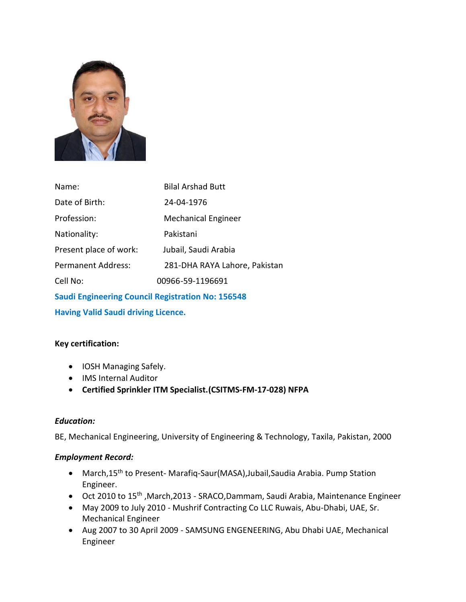

| Name:                     | <b>Bilal Arshad Butt</b>      |
|---------------------------|-------------------------------|
| Date of Birth:            | 24-04-1976                    |
| Profession:               | <b>Mechanical Engineer</b>    |
| Nationality:              | Pakistani                     |
| Present place of work:    | Jubail, Saudi Arabia          |
| <b>Permanent Address:</b> | 281-DHA RAYA Lahore, Pakistan |
| Cell No:                  | 00966-59-1196691              |
|                           |                               |

**Saudi Engineering Council Registration No: 156548 Having Valid Saudi driving Licence.**

## **Key certification:**

- IOSH Managing Safely.
- IMS Internal Auditor
- **Certified Sprinkler ITM Specialist.(CSITMS-FM-17-028) NFPA**

## *Education:*

BE, Mechanical Engineering, University of Engineering & Technology, Taxila, Pakistan, 2000

## *Employment Record:*

- March,15<sup>th</sup> to Present- Marafiq-Saur(MASA), Jubail, Saudia Arabia. Pump Station Engineer.
- Oct 2010 to 15th ,March,2013 SRACO,Dammam, Saudi Arabia, Maintenance Engineer
- May 2009 to July 2010 Mushrif Contracting Co LLC Ruwais, Abu-Dhabi, UAE, Sr. Mechanical Engineer
- Aug 2007 to 30 April 2009 SAMSUNG ENGENEERING, Abu Dhabi UAE, Mechanical Engineer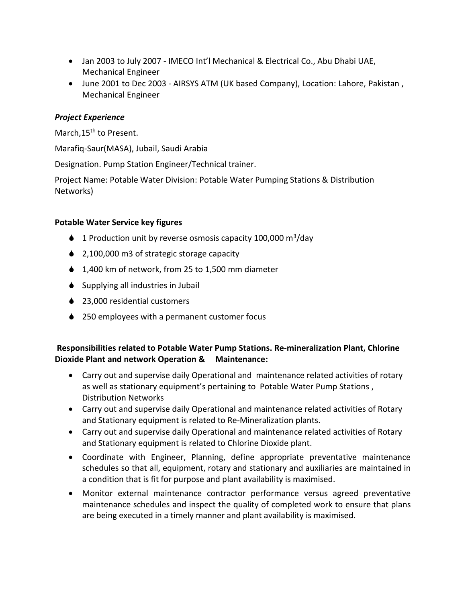- Jan 2003 to July 2007 IMECO Int'l Mechanical & Electrical Co., Abu Dhabi UAE, Mechanical Engineer
- June 2001 to Dec 2003 AIRSYS ATM (UK based Company), Location: Lahore, Pakistan , Mechanical Engineer

#### *Project Experience*

March, 15<sup>th</sup> to Present.

Marafiq-Saur(MASA), Jubail, Saudi Arabia

Designation. Pump Station Engineer/Technical trainer.

Project Name: Potable Water Division: Potable Water Pumping Stations & Distribution Networks)

#### **Potable Water Service key figures**

- $\bullet$  1 Production unit by reverse osmosis capacity 100,000 m<sup>3</sup>/day
- ♦ 2,100,000 m3 of strategic storage capacity
- ♦ 1,400 km of network, from 25 to 1,500 mm diameter
- $\bullet$  Supplying all industries in Jubail
- ♦ 23,000 residential customers
- ♦ 250 employees with a permanent customer focus

## **Responsibilities related to Potable Water Pump Stations. Re-mineralization Plant, Chlorine Dioxide Plant and network Operation & Maintenance:**

- Carry out and supervise daily Operational and maintenance related activities of rotary as well as stationary equipment's pertaining to Potable Water Pump Stations , Distribution Networks
- Carry out and supervise daily Operational and maintenance related activities of Rotary and Stationary equipment is related to Re-Mineralization plants.
- Carry out and supervise daily Operational and maintenance related activities of Rotary and Stationary equipment is related to Chlorine Dioxide plant.
- Coordinate with Engineer, Planning, define appropriate preventative maintenance schedules so that all, equipment, rotary and stationary and auxiliaries are maintained in a condition that is fit for purpose and plant availability is maximised.
- Monitor external maintenance contractor performance versus agreed preventative maintenance schedules and inspect the quality of completed work to ensure that plans are being executed in a timely manner and plant availability is maximised.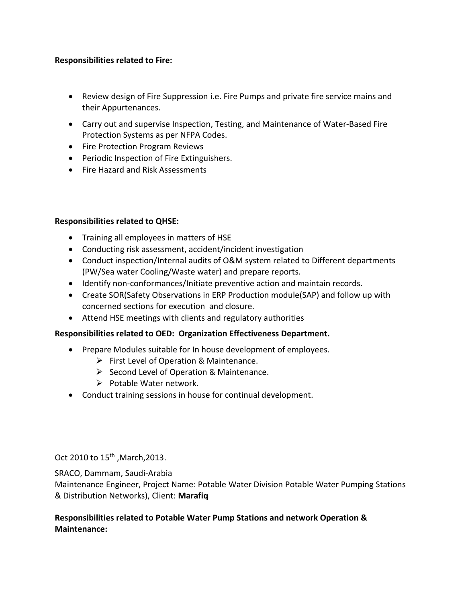#### **Responsibilities related to Fire:**

- Review design of Fire Suppression i.e. Fire Pumps and private fire service mains and their Appurtenances.
- Carry out and supervise Inspection, Testing, and Maintenance of Water-Based Fire Protection Systems as per NFPA Codes.
- Fire Protection Program Reviews
- Periodic Inspection of Fire Extinguishers.
- Fire Hazard and Risk Assessments

#### **Responsibilities related to QHSE:**

- Training all employees in matters of HSE
- Conducting risk assessment, accident/incident investigation
- Conduct inspection/Internal audits of O&M system related to Different departments (PW/Sea water Cooling/Waste water) and prepare reports.
- Identify non-conformances/Initiate preventive action and maintain records.
- Create SOR(Safety Observations in ERP Production module(SAP) and follow up with concerned sections for execution and closure.
- Attend HSE meetings with clients and regulatory authorities

## **Responsibilities related to OED: Organization Effectiveness Department.**

- Prepare Modules suitable for In house development of employees.
	- $\triangleright$  First Level of Operation & Maintenance.
	- $\triangleright$  Second Level of Operation & Maintenance.
	- $\triangleright$  Potable Water network.
- Conduct training sessions in house for continual development.

Oct 2010 to 15<sup>th</sup>, March, 2013.

SRACO, Dammam, Saudi-Arabia

Maintenance Engineer, Project Name: Potable Water Division Potable Water Pumping Stations & Distribution Networks), Client: **Marafiq**

#### **Responsibilities related to Potable Water Pump Stations and network Operation & Maintenance:**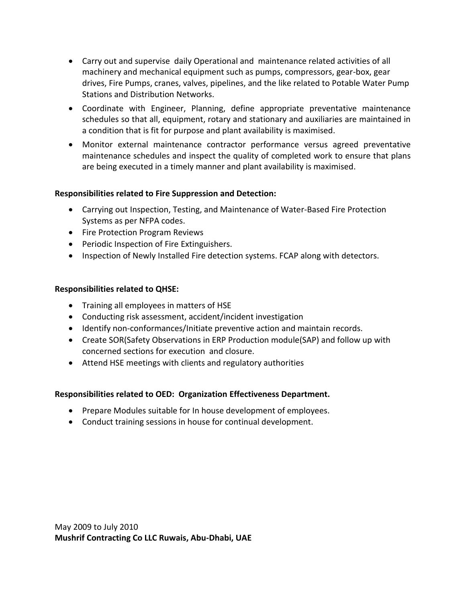- Carry out and supervise daily Operational and maintenance related activities of all machinery and mechanical equipment such as pumps, compressors, gear-box, gear drives, Fire Pumps, cranes, valves, pipelines, and the like related to Potable Water Pump Stations and Distribution Networks.
- Coordinate with Engineer, Planning, define appropriate preventative maintenance schedules so that all, equipment, rotary and stationary and auxiliaries are maintained in a condition that is fit for purpose and plant availability is maximised.
- Monitor external maintenance contractor performance versus agreed preventative maintenance schedules and inspect the quality of completed work to ensure that plans are being executed in a timely manner and plant availability is maximised.

#### **Responsibilities related to Fire Suppression and Detection:**

- Carrying out Inspection, Testing, and Maintenance of Water-Based Fire Protection Systems as per NFPA codes.
- Fire Protection Program Reviews
- Periodic Inspection of Fire Extinguishers.
- Inspection of Newly Installed Fire detection systems. FCAP along with detectors.

## **Responsibilities related to QHSE:**

- Training all employees in matters of HSE
- Conducting risk assessment, accident/incident investigation
- Identify non-conformances/Initiate preventive action and maintain records.
- Create SOR(Safety Observations in ERP Production module(SAP) and follow up with concerned sections for execution and closure.
- Attend HSE meetings with clients and regulatory authorities

## **Responsibilities related to OED: Organization Effectiveness Department.**

- Prepare Modules suitable for In house development of employees.
- Conduct training sessions in house for continual development.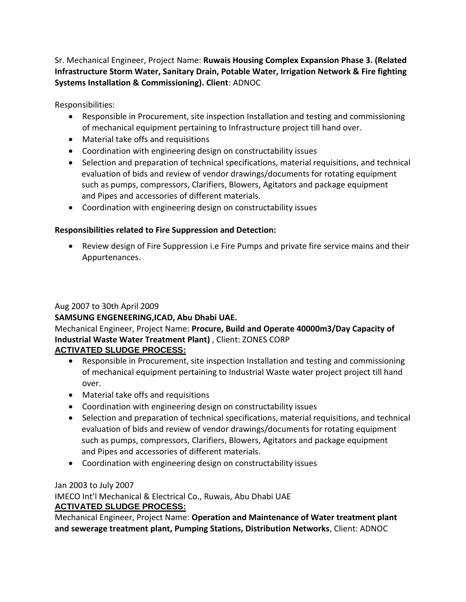Sr. Mechanical Engineer, Project Name: **Ruwais Housing Complex Expansion Phase 3. (Related Infrastructure Storm Water, Sanitary Drain, Potable Water, Irrigation Network & Fire fighting Systems Installation & Commissioning). Client**: ADNOC

Responsibilities:

- Responsible in Procurement, site inspection Installation and testing and commissioning of mechanical equipment pertaining to Infrastructure project till hand over.
- Material take offs and requisitions
- Coordination with engineering design on constructability issues
- Selection and preparation of technical specifications, material requisitions, and technical evaluation of bids and review of vendor drawings/documents for rotating equipment such as pumps, compressors, Clarifiers, Blowers, Agitators and package equipment and Pipes and accessories of different materials.
- Coordination with engineering design on constructability issues

## **Responsibilities related to Fire Suppression and Detection:**

• Review design of Fire Suppression i.e Fire Pumps and private fire service mains and their Appurtenances.

## Aug 2007 to 30th April 2009

## **SAMSUNG ENGENEERING,ICAD, Abu Dhabi UAE.**

#### Mechanical Engineer, Project Name: **Procure, Build and Operate 40000m3/Day Capacity of Industrial Waste Water Treatment Plant)** , Client: ZONES CORP **ACTIVATED SLUDGE PROCESS:**

- Responsible in Procurement, site inspection Installation and testing and commissioning of mechanical equipment pertaining to Industrial Waste water project project till hand over.
- Material take offs and requisitions
- Coordination with engineering design on constructability issues
- Selection and preparation of technical specifications, material requisitions, and technical evaluation of bids and review of vendor drawings/documents for rotating equipment such as pumps, compressors, Clarifiers, Blowers, Agitators and package equipment and Pipes and accessories of different materials.
- Coordination with engineering design on constructability issues

## Jan 2003 to July 2007

IMECO Int'l Mechanical & Electrical Co., Ruwais, Abu Dhabi UAE **ACTIVATED SLUDGE PROCESS:**

Mechanical Engineer, Project Name: **Operation and Maintenance of Water treatment plant and sewerage treatment plant, Pumping Stations, Distribution Networks**, Client: ADNOC